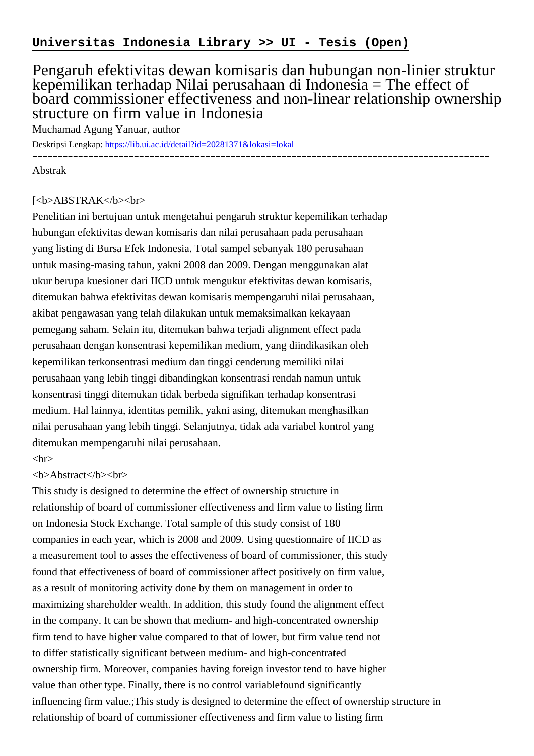## Pengaruh efektivitas dewan komisaris dan hubungan non-linier struktur kepemilikan terhadap Nilai perusahaan di Indonesia = The effect of board commissioner effectiveness and non-linear relationship ownership structure on firm value in Indonesia

Muchamad Agung Yanuar, author

Deskripsi Lengkap:<https://lib.ui.ac.id/detail?id=20281371&lokasi=lokal>

------------------------------------------------------------------------------------------

Abstrak

## [<b>ABSTRAK</b><br/>shr>

Penelitian ini bertujuan untuk mengetahui pengaruh struktur kepemilikan terhadap hubungan efektivitas dewan komisaris dan nilai perusahaan pada perusahaan yang listing di Bursa Efek Indonesia. Total sampel sebanyak 180 perusahaan untuk masing-masing tahun, yakni 2008 dan 2009. Dengan menggunakan alat ukur berupa kuesioner dari IICD untuk mengukur efektivitas dewan komisaris, ditemukan bahwa efektivitas dewan komisaris mempengaruhi nilai perusahaan, akibat pengawasan yang telah dilakukan untuk memaksimalkan kekayaan pemegang saham. Selain itu, ditemukan bahwa terjadi alignment effect pada perusahaan dengan konsentrasi kepemilikan medium, yang diindikasikan oleh kepemilikan terkonsentrasi medium dan tinggi cenderung memiliki nilai perusahaan yang lebih tinggi dibandingkan konsentrasi rendah namun untuk konsentrasi tinggi ditemukan tidak berbeda signifikan terhadap konsentrasi medium. Hal lainnya, identitas pemilik, yakni asing, ditemukan menghasilkan nilai perusahaan yang lebih tinggi. Selanjutnya, tidak ada variabel kontrol yang ditemukan mempengaruhi nilai perusahaan.

## $\langle$ hr $>$

## <b>Abstract</b><br>

This study is designed to determine the effect of ownership structure in relationship of board of commissioner effectiveness and firm value to listing firm on Indonesia Stock Exchange. Total sample of this study consist of 180 companies in each year, which is 2008 and 2009. Using questionnaire of IICD as a measurement tool to asses the effectiveness of board of commissioner, this study found that effectiveness of board of commissioner affect positively on firm value, as a result of monitoring activity done by them on management in order to maximizing shareholder wealth. In addition, this study found the alignment effect in the company. It can be shown that medium- and high-concentrated ownership firm tend to have higher value compared to that of lower, but firm value tend not to differ statistically significant between medium- and high-concentrated ownership firm. Moreover, companies having foreign investor tend to have higher value than other type. Finally, there is no control variablefound significantly influencing firm value.;This study is designed to determine the effect of ownership structure in relationship of board of commissioner effectiveness and firm value to listing firm